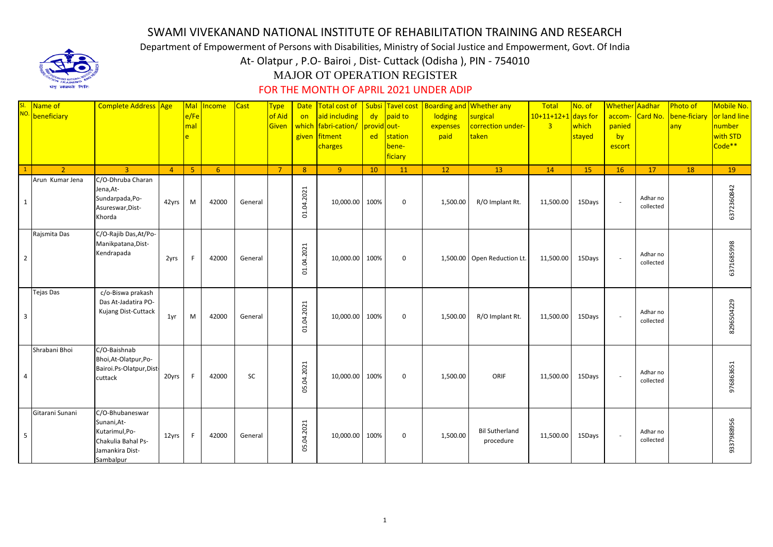## SWAMI VIVEKANAND NATIONAL INSTITUTE OF REHABILITATION TRAINING AND RESEARCH

Department of Empowerment of Persons with Disabilities, Ministry of Social Justice and Empowerment, Govt. Of India

At- Olatpur , P.O- Bairoi , Dist- Cuttack (Odisha ), PIN - 754010



## MAJOR OT OPERATION REGISTER

## FOR THE MONTH OF APRIL 2021 UNDER ADIP

|                         | <sup>SI</sup> Name of<br><sup>NO</sup> beneficiary | Complete Address Age                                                                                   |                | Mal<br>e/Fe<br>mal | Income         | <b>Cast</b> | <b>Type</b><br>of Aid<br><b>Given</b> | Date<br>on<br>which<br>given | aid including<br>fabri-cation/<br>fitment<br>charges | provid out-<br>ed | dy paid to<br>station<br>bene-<br>ficiary | Total cost of   Subsi Tavel cost   Boarding and Whether any<br>lodging<br>expenses<br>paid | surgical<br>correction under-<br>taken | Total<br>$10+11+12+1$ days for<br>$\overline{3}$ | No. of<br>which<br>stayed | Whether Aadhar<br>accom-<br>panied<br>by<br>escort | Card No.              | Photo of<br>bene-ficiary<br>any | Mobile No.<br>or land line<br>number<br>with STD<br>Code** |
|-------------------------|----------------------------------------------------|--------------------------------------------------------------------------------------------------------|----------------|--------------------|----------------|-------------|---------------------------------------|------------------------------|------------------------------------------------------|-------------------|-------------------------------------------|--------------------------------------------------------------------------------------------|----------------------------------------|--------------------------------------------------|---------------------------|----------------------------------------------------|-----------------------|---------------------------------|------------------------------------------------------------|
|                         | $\mathcal{L}$                                      | $\mathbf{R}$                                                                                           | $\overline{4}$ | 5 <sup>°</sup>     | 6 <sup>1</sup> |             | $\overline{7}$                        | 8                            | 9 <sup>°</sup>                                       | 10                | 11                                        | 12                                                                                         | 13                                     | 14                                               | 15                        | <b>16</b>                                          | 17                    | 18                              | 19                                                         |
| $\mathbf{1}$            | Arun Kumar Jena                                    | C/O-Dhruba Charan<br>Jena, At-<br>Sundarpada, Po-<br>Asureswar, Dist-<br>Khorda                        | 42yrs          | M                  | 42000          | General     |                                       | 01.04.2021                   | 10,000.00                                            | 100%              | $\mathbf 0$                               | 1,500.00                                                                                   | R/O Implant Rt.                        | 11,500.00                                        | 15Days                    | $\sim$                                             | Adhar no<br>collected |                                 | 6372360842                                                 |
| $\overline{2}$          | Rajsmita Das                                       | C/O-Rajib Das, At/Po-<br>Manikpatana, Dist-<br>Kendrapada                                              | 2yrs           |                    | 42000          | General     |                                       | 01.04.2021                   | 10,000.00                                            | 100%              | $\mathbf 0$                               |                                                                                            | 1,500.00 Open Reduction Lt.            | 11,500.00                                        | 15Days                    | $\sim$                                             | Adhar no<br>collected |                                 | 6371685998                                                 |
| $\overline{\mathbf{3}}$ | Tejas Das                                          | c/o-Biswa prakash<br>Das At-Jadatira PO-<br>Kujang Dist-Cuttack                                        | 1yr            | M                  | 42000          | General     |                                       | 01.04.2021                   | 10,000.00                                            | 100%              | $\mathbf 0$                               | 1,500.00                                                                                   | R/O Implant Rt.                        | 11,500.00                                        | 15Days                    | $\sim$                                             | Adhar no<br>collected |                                 | 8296504229                                                 |
| $\overline{4}$          | Shrabani Bhoi                                      | C/O-Baishnab<br>Bhoi, At-Olatpur, Po-<br>Bairoi.Ps-Olatpur,Dist-<br>cuttack                            | 20yrs          |                    | 42000          | SC          |                                       | 05.04.2021                   | 10,000.00 100%                                       |                   | 0                                         | 1,500.00                                                                                   | ORIF                                   | 11,500.00                                        | 15Days                    | $\sim$                                             | Adhar no<br>collected |                                 | 976863651                                                  |
| 5                       | Gitarani Sunani                                    | C/O-Bhubaneswar<br>Sunani, At-<br>Kutarimul, Po-<br>Chakulia Bahal Ps-<br>Jamankira Dist-<br>Sambalpur | 12yrs          | -F                 | 42000          | General     |                                       | 05.04.2021                   | 10,000.00 100%                                       |                   | 0                                         | 1,500.00                                                                                   | <b>Bil Sutherland</b><br>procedure     | 11,500.00                                        | 15Days                    | $\sim$                                             | Adhar no<br>collected |                                 | 9337988956                                                 |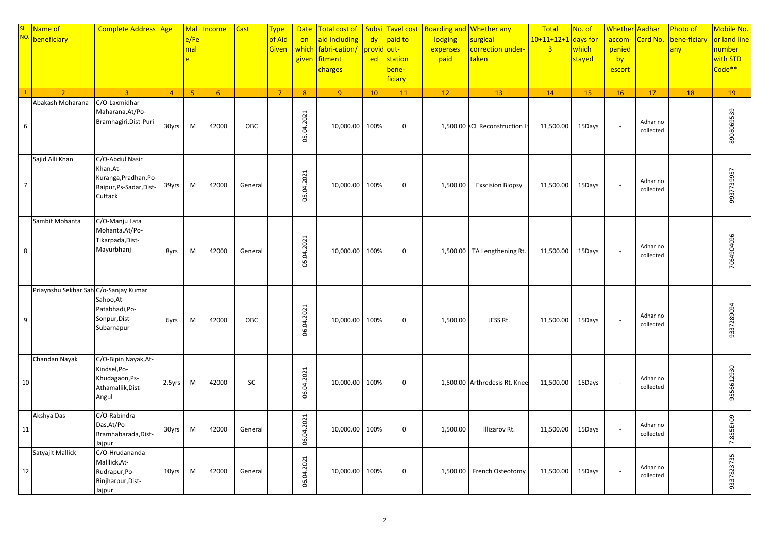| SI.<br>NO.     | Name of<br>beneficiary                | Complete Address Age                                                                        |                | Mal<br>e/Fe<br>mal<br>è | <b>Income</b>  | <b>Cast</b> | <b>Type</b><br>of Aid<br>Given | <b>Date</b><br>on<br>which<br>given | Total cost of<br>aid including<br>fabri-cation/<br>fitment<br>charges | <b>Subsi</b><br>dy<br>provid <mark>out-</mark><br>ed | paid to<br>station<br>bene-<br>ficiary | Tavel cost   Boarding and Whether any<br>lodging<br>expenses<br>paid | surgical<br>correction under-<br>taken | Total<br>10+11+12+1 days for<br>$\overline{3}$ | No. of<br>which<br>stayed | Whether Aadhar<br>accom-<br>panied<br>by<br>escort | Card No.              | Photo of<br>bene-ficiary<br>any | Mobile No.<br>or land line<br>number<br>with STD<br>Code <sup>**</sup> |
|----------------|---------------------------------------|---------------------------------------------------------------------------------------------|----------------|-------------------------|----------------|-------------|--------------------------------|-------------------------------------|-----------------------------------------------------------------------|------------------------------------------------------|----------------------------------------|----------------------------------------------------------------------|----------------------------------------|------------------------------------------------|---------------------------|----------------------------------------------------|-----------------------|---------------------------------|------------------------------------------------------------------------|
|                | $\overline{2}$<br>Abakash Moharana    | $\overline{3}$<br>C/O-Laxmidhar                                                             | $\overline{4}$ | 5 <sup>°</sup>          | 6 <sup>1</sup> |             | $\overline{7}$                 | 8 <sup>°</sup>                      | $\overline{9}$                                                        | 10                                                   | 11                                     | 12                                                                   | 13                                     | 14                                             | 15                        | 16                                                 | 17                    | 18                              | 19                                                                     |
| 6              |                                       | Maharana, At/Po-<br>Bramhagiri, Dist-Puri                                                   | 30yrs          | M                       | 42000          | OBC         |                                | 05.04.2021                          | 10,000.00                                                             | 100%                                                 | $\mathbf 0$                            |                                                                      | 1,500.00 ACL Reconstruction Lt         | 11,500.00                                      | 15Days                    | $\sim$                                             | Adhar no<br>collected |                                 | 8908069539                                                             |
| $\overline{7}$ | Sajid Alli Khan                       | C/O-Abdul Nasir<br>Khan, At-<br>Kuranga, Pradhan, Po-<br>Raipur, Ps-Sadar, Dist-<br>Cuttack | 39yrs          | M                       | 42000          | General     |                                | 05.04.2021                          | 10,000.00                                                             | 100%                                                 | $\mathbf 0$                            | 1,500.00                                                             | <b>Exscision Biopsy</b>                | 11,500.00                                      | 15Days                    | $\overline{\phantom{a}}$                           | Adhar no<br>collected |                                 | 9937739957                                                             |
| 8              | Sambit Mohanta                        | C/O-Manju Lata<br>Mohanta, At/Po-<br>Tikarpada, Dist-<br>Mayurbhanj                         | 8yrs           | M                       | 42000          | General     |                                | 05.04.2021                          | 10,000.00                                                             | 100%                                                 | $\mathbf 0$                            |                                                                      | 1,500.00   TA Lengthening Rt.          | 11,500.00                                      | 15Days                    |                                                    | Adhar no<br>collected |                                 | 7064904096                                                             |
| 9              | Priaynshu Sekhar Sah C/o-Sanjay Kumar | Sahoo, At-<br>Patabhadi, Po-<br>Sonpur, Dist-<br>Subarnapur                                 | 6yrs           | M                       | 42000          | OBC         |                                | 06.04.2021                          | 10,000.00 100%                                                        |                                                      | $\mathbf 0$                            | 1,500.00                                                             | JESS Rt.                               | 11,500.00                                      | 15Days                    | $\sim$                                             | Adhar no<br>collected |                                 | 9337289094                                                             |
| 10             | Chandan Nayak                         | C/O-Bipin Nayak, At-<br>Kindsel, Po-<br>Khudagaon, Ps-<br>Athamallik, Dist-<br>Angul        | 2.5yrs         | M                       | 42000          | SC          |                                | 06.04.2021                          | 10,000.00 100%                                                        |                                                      | $\mathbf 0$                            |                                                                      | 1,500.00 Arthredesis Rt. Knee          | 11,500.00                                      | 15Days                    | $\sim$                                             | Adhar no<br>collected |                                 | 9556612930                                                             |
| 11             | Akshya Das                            | C/O-Rabindra<br>Das, At/Po-<br>Bramhabarada, Dist-<br>Jajpur                                | 30yrs          | M                       | 42000          | General     |                                | 06.04.2021                          | 10,000.00                                                             | 100%                                                 | $\mathbf 0$                            | 1,500.00                                                             | Illizarov Rt.                          | 11,500.00                                      | 15Days                    | $\overline{\phantom{a}}$                           | Adhar no<br>collected |                                 | 7.855E+09                                                              |
| 12             | Satyajit Mallick                      | C/O-Hrudananda<br>Malllick, At-<br>Rudrapur, Po-<br>Binjharpur, Dist-<br>Jajpur             | 10yrs          | M                       | 42000          | General     |                                | 06.04.2021                          | 10,000.00                                                             | 100%                                                 | $\mathbf 0$                            |                                                                      | 1,500.00 French Osteotomy              | 11,500.00                                      | 15Days                    | $\overline{\phantom{a}}$                           | Adhar no<br>collected |                                 | 9337823735                                                             |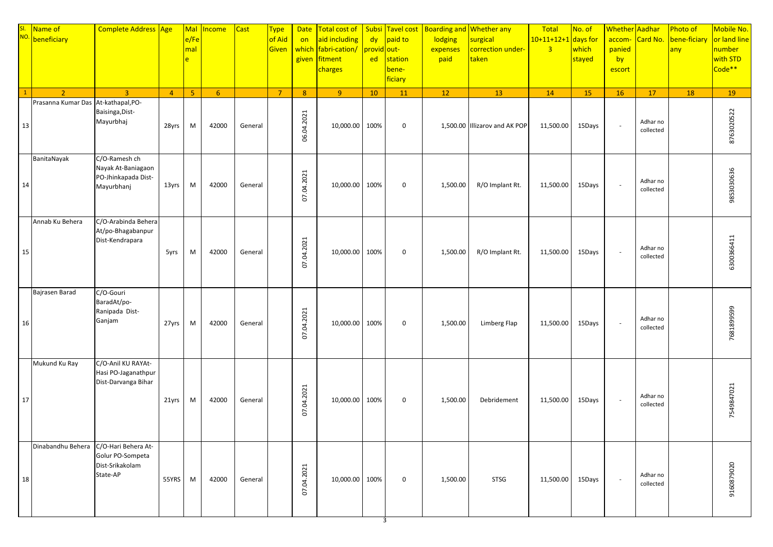|    | SI. Name of<br>NO. beneficiary | Complete Address Age                                                     |                | Mal<br>e/Fe<br>mal<br>e. | Income      | <b>Cast</b> | <b>Type</b><br>of Aid<br>Given | <b>Date</b><br>on<br>which<br>given | Total cost of   Subsi Tavel cost<br>aid including<br>fabri-cation/<br>fitment<br>charges | provid out-<br>ed | dy paid to<br>station<br>bene-<br>ficiary | <b>Boarding and Whether any</b><br>lodging<br>expenses<br>paid | surgical<br>correction under-<br>taken | Total<br>$10+11+12+1$ days for<br>$\overline{3}$ | No. of<br>which<br>stayed | Whether Aadhar<br>panied<br>by<br>escort | accom- Card No.       | Photo of<br>bene-ficiary<br>any | Mobile No.<br>or land line<br>number<br>with STD<br>Code <sup>**</sup> |
|----|--------------------------------|--------------------------------------------------------------------------|----------------|--------------------------|-------------|-------------|--------------------------------|-------------------------------------|------------------------------------------------------------------------------------------|-------------------|-------------------------------------------|----------------------------------------------------------------|----------------------------------------|--------------------------------------------------|---------------------------|------------------------------------------|-----------------------|---------------------------------|------------------------------------------------------------------------|
|    | $\overline{2}$                 | $\overline{3}$                                                           | $\overline{4}$ | 5 <sup>°</sup>           | $6^{\circ}$ |             | $\overline{7}$                 | 8 <sup>°</sup>                      | 9 <sup>°</sup>                                                                           | 10                | 11                                        | 12                                                             | 13                                     | 14                                               | 15                        | 16                                       | 17                    | 18                              | 19                                                                     |
| 13 | Prasanna Kumar Das             | At-kathapal, PO-<br>Baisinga, Dist-<br>Mayurbhaj                         | 28yrs          | M                        | 42000       | General     |                                | 06.04.2021                          | 10,000.00                                                                                | 100%              | $\mathbf 0$                               |                                                                | 1,500.00 Illizarov and AK POP          | 11,500.00                                        | 15Days                    | $\sim$                                   | Adhar no<br>collected |                                 | 8763020522                                                             |
| 14 | BanitaNayak                    | C/O-Ramesh ch<br>Nayak At-Baniagaon<br>PO-Jhinkapada Dist-<br>Mayurbhanj | 13yrs          | M                        | 42000       | General     |                                | 07.04.2021                          | 10,000.00                                                                                | 100%              | $\mathbf 0$                               | 1,500.00                                                       | R/O Implant Rt.                        | 11,500.00                                        | 15Days                    | $\sim$                                   | Adhar no<br>collected |                                 | 9853030636                                                             |
| 15 | Annab Ku Behera                | C/O-Arabinda Behera<br>At/po-Bhagabanpur<br>Dist-Kendrapara              | 5yrs           | M                        | 42000       | General     |                                | 07.04.2021                          | 10,000.00                                                                                | 100%              | $\boldsymbol{0}$                          | 1,500.00                                                       | R/O Implant Rt.                        | 11,500.00                                        | 15Days                    | $\sim$                                   | Adhar no<br>collected |                                 | 6300366411                                                             |
| 16 | Bajrasen Barad                 | C/O-Gouri<br>BaradAt/po-<br>Ranipada Dist-<br>Ganjam                     | 27yrs          | M                        | 42000       | General     |                                | 07.04.2021                          | 10,000.00                                                                                | 100%              | $\mathbf 0$                               | 1,500.00                                                       | Limberg Flap                           | 11,500.00                                        | 15Days                    | $\overline{\phantom{a}}$                 | Adhar no<br>collected |                                 | 7681899599                                                             |
| 17 | Mukund Ku Ray                  | C/O-Anil KU RAYAt-<br>Hasi PO-Jaganathpur<br>Dist-Darvanga Bihar         | 21yrs          | M                        | 42000       | General     |                                | 07.04.2021                          | 10,000.00                                                                                | 100%              | $\mathbf 0$                               | 1,500.00                                                       | Debridement                            | 11,500.00                                        | 15Days                    | $\sim$                                   | Adhar no<br>collected |                                 | 7549847021                                                             |
| 18 | Dinabandhu Behera              | C/O-Hari Behera At-<br>Golur PO-Sompeta<br>Dist-Srikakolam<br>State-AP   | 55YRS          | M                        | 42000       | General     |                                | 07.04.2021                          | 10,000.00 100%                                                                           | 3                 | $\mathbf 0$                               | 1,500.00                                                       | <b>STSG</b>                            | 11,500.00                                        | 15Days                    | $\sim$                                   | Adhar no<br>collected |                                 | 9160879020                                                             |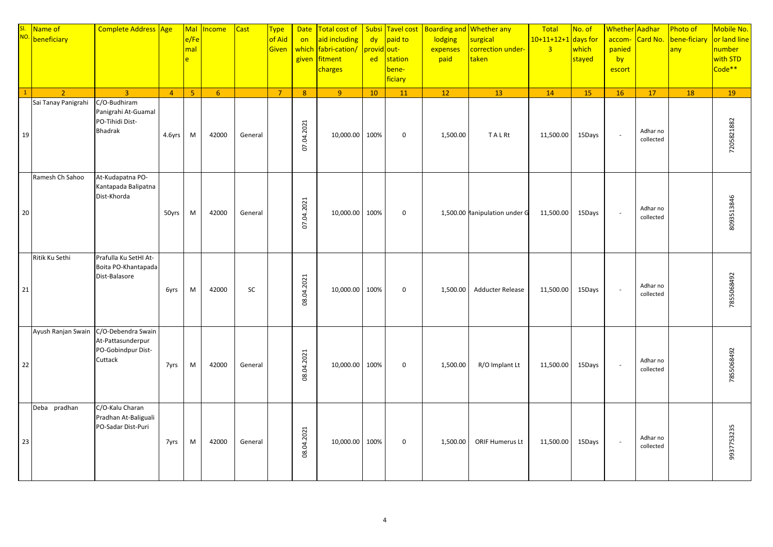| $\mathbf{1}$ | SI. Name of No. 1<br>$\overline{2}$ | Complete Address Age<br>$\overline{3}$                                   | $\overline{4}$ | Mal<br>e/Fe<br>mal<br>le.<br>5 <sup>°</sup> | <b>Income</b><br>$6\overline{6}$ | <b>Cast</b> | <b>Type</b><br>of Aid<br>Given<br>$\overline{7}$ | <b>Date</b><br>on<br>which<br>given<br>8 <sup>°</sup> | Total cost of<br>aid including<br>fabri-cation/<br>fitment<br>charges<br>$\overline{9}$ | dy<br><mark>orovid out-</mark><br>ed<br>10 | paid to<br>station<br>bene-<br>ficiary<br>11 | Subsi Tavel cost   Boarding and Whether any<br>lodging<br>expenses<br>paid<br>12 | surgical<br>correction under-<br>taken<br>13 | Total<br>$10+11+12+1$ days for<br>$\overline{3}$<br>14 | No. of<br>which<br>stayed<br>15 | Whether Aadhar<br>accom-<br>panied<br>by<br>escort<br>16 | Card No.<br>17        | Photo of<br>bene-ficiary<br>any<br>18 | Mobile No.<br>or land line<br>number<br>with STD<br>Code <sup>**</sup><br>19 |
|--------------|-------------------------------------|--------------------------------------------------------------------------|----------------|---------------------------------------------|----------------------------------|-------------|--------------------------------------------------|-------------------------------------------------------|-----------------------------------------------------------------------------------------|--------------------------------------------|----------------------------------------------|----------------------------------------------------------------------------------|----------------------------------------------|--------------------------------------------------------|---------------------------------|----------------------------------------------------------|-----------------------|---------------------------------------|------------------------------------------------------------------------------|
| 19           | Sai Tanay Panigrahi                 | C/O-Budhiram<br>Panigrahi At-Guamal<br>PO-Tihidi Dist-<br><b>Bhadrak</b> | 4.6yrs         | M                                           | 42000                            | General     |                                                  | 07.04.2021                                            | 10,000.00                                                                               | 100%                                       | $\mathbf 0$                                  | 1,500.00                                                                         | TALRt                                        | 11,500.00                                              | 15Days                          | $\sim$                                                   | Adhar no<br>collected |                                       | 7205821882                                                                   |
| 20           | Ramesh Ch Sahoo                     | At-Kudapatna PO-<br>Kantapada Balipatna<br>Dist-Khorda                   | 50yrs          | M                                           | 42000                            | General     |                                                  | 07.04.2021                                            | 10,000.00                                                                               | 100%                                       | $\mathbf 0$                                  |                                                                                  | 1,500.00 Manipulation under G                | 11,500.00                                              | 15Days                          | $\sim$                                                   | Adhar no<br>collected |                                       | 8093513846                                                                   |
| 21           | Ritik Ku Sethi                      | Prafulla Ku SetHI At-<br>Boita PO-Khantapada<br>Dist-Balasore            | 6yrs           | M                                           | 42000                            | SC          |                                                  | 08.04.2021                                            | 10,000.00                                                                               | 100%                                       | $\mathbf 0$                                  | 1,500.00                                                                         | <b>Adducter Release</b>                      | 11,500.00                                              | 15Days                          | $\sim$                                                   | Adhar no<br>collected |                                       | 7855068492                                                                   |
| 22           | Ayush Ranjan Swain                  | C/O-Debendra Swain<br>At-Pattasunderpur<br>PO-Gobindpur Dist-<br>Cuttack | 7yrs           | M                                           | 42000                            | General     |                                                  | 08.04.2021                                            | 10,000.00                                                                               | 100%                                       | $\mathbf 0$                                  | 1,500.00                                                                         | R/O Implant Lt                               | 11,500.00                                              | 15Days                          | $\sim$                                                   | Adhar no<br>collected |                                       | 7855068492                                                                   |
| 23           | Deba pradhan                        | C/O-Kalu Charan<br>Pradhan At-Baliguali<br>PO-Sadar Dist-Puri            | 7yrs           | M                                           | 42000                            | General     |                                                  | 08.04.2021                                            | 10,000.00                                                                               | 100%                                       | $\mathbf 0$                                  | 1,500.00                                                                         | <b>ORIF Humerus Lt</b>                       | 11,500.00                                              | 15Days                          | $\sim$                                                   | Adhar no<br>collected |                                       | 9937753235                                                                   |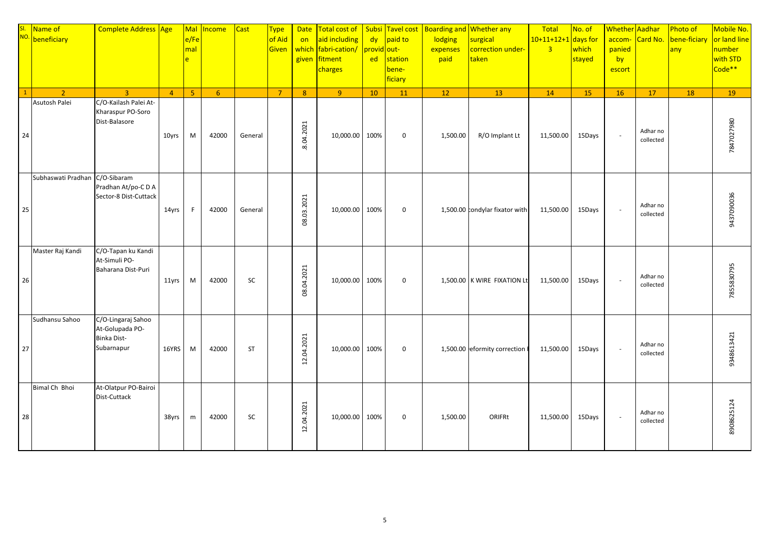|              | SI. Name of No. 1  | Complete Address Age                                                      |                | Mal<br>e/Fe<br>mal<br>$\mathsf{P}$ | Income      | <b>Cast</b> | <b>Type</b><br>of Aid<br><b>Given</b> | <b>Date</b><br>on<br>which<br>given | Total cost of Subsi Tavel cost<br>aid including<br>fabri-cation/<br>fitment<br>charges | dy<br>provid out-<br>ed | paid to<br>station<br>bene-<br>ficiary | Boarding and Whether any<br>lodging<br>expenses<br>paid | surgical<br>correction under-<br>taken | Total<br>$10+11+12+1$ days for<br>$\overline{3}$ | No. of<br>which<br>stayed | Whether Aadhar<br>accom-<br>panied<br>by<br>escort | Card No.              | Photo of<br>bene-ficiary<br>any | Mobile No.<br>or land line<br>number<br>with STD<br>Code <sup>**</sup> |
|--------------|--------------------|---------------------------------------------------------------------------|----------------|------------------------------------|-------------|-------------|---------------------------------------|-------------------------------------|----------------------------------------------------------------------------------------|-------------------------|----------------------------------------|---------------------------------------------------------|----------------------------------------|--------------------------------------------------|---------------------------|----------------------------------------------------|-----------------------|---------------------------------|------------------------------------------------------------------------|
| $\mathbf{1}$ | $\overline{2}$     | $\overline{3}$                                                            | $\overline{4}$ | 5 <sup>°</sup>                     | $6^{\circ}$ |             | $\overline{7}$                        | 8 <sup>°</sup>                      | 9 <sup>°</sup>                                                                         | 10                      | 11                                     | 12                                                      | 13                                     | 14                                               | 15                        | 16                                                 | 17                    | 18                              | 19                                                                     |
| 24           | Asutosh Palei      | C/O-Kailash Palei At-<br>Kharaspur PO-Soro<br>Dist-Balasore               | 10yrs          | M                                  | 42000       | General     |                                       | 8.04.2021                           | 10,000.00                                                                              | 100%                    | $\mathbf 0$                            | 1,500.00                                                | R/O Implant Lt                         | 11,500.00                                        | 15Days                    | $\sim$                                             | Adhar no<br>collected |                                 | 7847027980                                                             |
| 25           | Subhaswati Pradhan | C/O-Sibaram<br>Pradhan At/po-C D A<br>Sector-8 Dist-Cuttack               | 14yrs          | F.                                 | 42000       | General     |                                       | 08.03.2021                          | 10,000.00                                                                              | 100%                    | $\mathbf 0$                            |                                                         | 1,500.00 condylar fixator with         | 11,500.00                                        | 15Days                    | $\sim$                                             | Adhar no<br>collected |                                 | 9437090036                                                             |
| 26           | Master Raj Kandi   | C/O-Tapan ku Kandi<br>At-Simuli PO-<br>Baharana Dist-Puri                 | 11yrs          | M                                  | 42000       | SC          |                                       | 08.04.2021                          | 10,000.00                                                                              | 100%                    | $\mathbf 0$                            |                                                         | 1,500.00 K WIRE FIXATION Lt            | 11,500.00                                        | 15Days                    | $\mathcal{L}_{\mathcal{A}}$                        | Adhar no<br>collected |                                 | 7855830795                                                             |
| 27           | Sudhansu Sahoo     | C/O-Lingaraj Sahoo<br>At-Golupada PO-<br><b>Binka Dist-</b><br>Subarnapur | 16YRS          | M                                  | 42000       | <b>ST</b>   |                                       | 12.04.2021                          | 10,000.00                                                                              | 100%                    | $\mathbf 0$                            |                                                         | 1,500.00 eformity correction f         | 11,500.00                                        | 15Days                    | $\sim$                                             | Adhar no<br>collected |                                 | 9348613421                                                             |
| 28           | Bimal Ch Bhoi      | At-Olatpur PO-Bairoi<br>Dist-Cuttack                                      | 38yrs          | m                                  | 42000       | SC          |                                       | 12.04.2021                          | 10,000.00 100%                                                                         |                         | $\mathbf 0$                            | 1,500.00                                                | ORIFRt                                 | 11,500.00                                        | 15Days                    | $\sim$                                             | Adhar no<br>collected |                                 | 8908625124                                                             |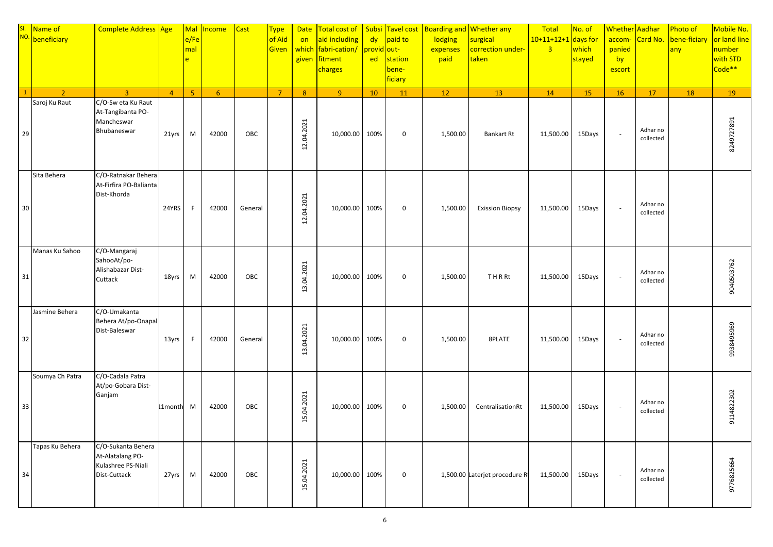|    | SI. Name of<br>NO. beneficiary | Complete Address Age                                                         |                | Mal<br>e/Fe<br>mal<br>e | Income         | <b>Cast</b> | <b>Type</b><br>of Aid<br>Given | <b>Date</b><br>on<br>which<br>given | Total cost of<br>aid including<br>  fabri-cation/ provid out-<br>fitment<br>charges | dy<br><b>ed</b> | Subsi Tavel cost<br>paid to<br>station<br>bene-<br>ficiary | lodging<br>expenses<br>paid | Boarding and Whether any<br>surgical<br>correction under-<br>taken | Total<br>$10+11+12+1$ days for<br>$\overline{3}$ | No. of<br>which<br>stayed | Whether Aadhar<br>accom-<br>panied<br>by<br>escort | Card No.              | Photo of<br>bene-ficiary<br>any | Mobile No.<br>or land line<br>number<br>with STD<br>Code <sup>**</sup> |
|----|--------------------------------|------------------------------------------------------------------------------|----------------|-------------------------|----------------|-------------|--------------------------------|-------------------------------------|-------------------------------------------------------------------------------------|-----------------|------------------------------------------------------------|-----------------------------|--------------------------------------------------------------------|--------------------------------------------------|---------------------------|----------------------------------------------------|-----------------------|---------------------------------|------------------------------------------------------------------------|
|    | $\overline{2}$                 | $\overline{3}$                                                               | $\overline{4}$ | 5 <sub>o</sub>          | 6 <sup>1</sup> |             | $\overline{7}$                 | 8                                   | 9 <sup>°</sup>                                                                      | 10              | 11                                                         | 12                          | 13                                                                 | 14                                               | 15                        | <b>16</b>                                          | 17                    | 18                              | 19                                                                     |
| 29 | Saroj Ku Raut                  | C/O-Sw eta Ku Raut<br>At-Tangibanta PO-<br>Mancheswar<br>Bhubaneswar         | 21yrs          | M                       | 42000          | OBC         |                                | 12.04.2021                          | 10,000.00 100%                                                                      |                 | $\mathbf 0$                                                | 1,500.00                    | Bankart Rt                                                         | 11,500.00                                        | 15Days                    | $\sim$                                             | Adhar no<br>collected |                                 | 8249727891                                                             |
| 30 | Sita Behera                    | C/O-Ratnakar Behera<br>At-Firfira PO-Balianta<br>Dist-Khorda                 | 24YRS          | F                       | 42000          | General     |                                | 12.04.2021                          | 10,000.00 100%                                                                      |                 | $\mathbf 0$                                                | 1,500.00                    | <b>Exission Biopsy</b>                                             | 11,500.00                                        | 15Days                    | $\sim$                                             | Adhar no<br>collected |                                 |                                                                        |
| 31 | Manas Ku Sahoo                 | C/O-Mangaraj<br>SahooAt/po-<br>Alishabazar Dist-<br>Cuttack                  | 18yrs          | M                       | 42000          | OBC         |                                | 13.04.2021                          | 10,000.00 100%                                                                      |                 | $\mathbf 0$                                                | 1,500.00                    | THRRt                                                              | 11,500.00                                        | 15Days                    | $\sim$                                             | Adhar no<br>collected |                                 | 9040503762                                                             |
| 32 | Jasmine Behera                 | C/O-Umakanta<br>Behera At/po-Onapal<br>Dist-Baleswar                         | 13yrs          | -F                      | 42000          | General     |                                | 13.04.2021                          | 10,000.00 100%                                                                      |                 | $\mathbf 0$                                                | 1,500.00                    | 8PLATE                                                             | 11,500.00                                        | 15Days                    | $\sim$                                             | Adhar no<br>collected |                                 | 9938495969                                                             |
| 33 | Soumya Ch Patra                | C/O-Cadala Patra<br>At/po-Gobara Dist-<br>Ganjam                             | L1month M      |                         | 42000          | OBC         |                                | 15.04.2021                          | 10,000.00 100%                                                                      |                 | $\mathbf 0$                                                | 1,500.00                    | CentralisationRt                                                   | 11,500.00                                        | 15Days                    | $\sim$                                             | Adhar no<br>collected |                                 | 9114822302                                                             |
| 34 | Tapas Ku Behera                | C/O-Sukanta Behera<br>At-Alatalang PO-<br>Kulashree PS-Niali<br>Dist-Cuttack | 27yrs          | M                       | 42000          | OBC         |                                | 15.04.2021                          | 10,000.00 100%                                                                      |                 | $\pmb{0}$                                                  |                             | 1,500.00 Laterjet procedure Rt                                     | 11,500.00                                        | 15Days                    | $\sim$                                             | Adhar no<br>collected |                                 | 9776825664                                                             |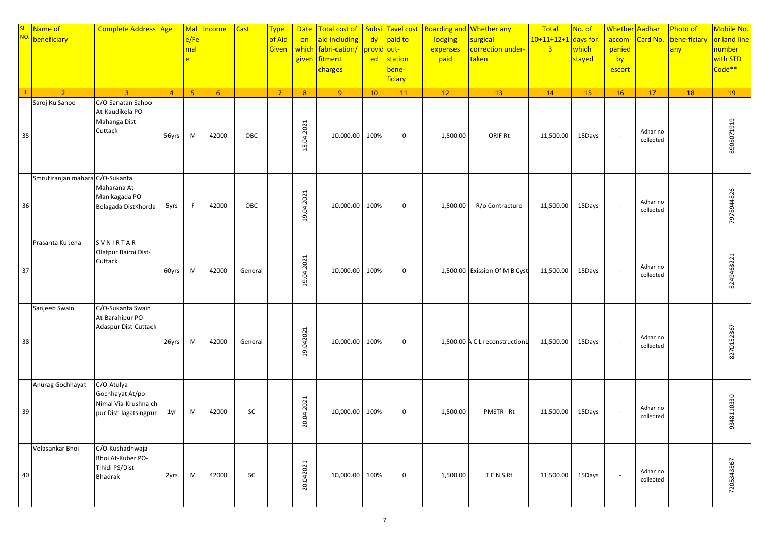|    | SI. Name of<br>NO. beneficiary  | Complete Address Age                                                            |                | Mal<br>e/Fe<br>mal<br>$\mathbf{e}$ | <b>Income</b>  | Cast    | <b>Type</b><br>of Aid<br>Given | <b>Date</b><br>on<br>which<br>given | Total cost of<br>aid including<br>fabri-cation/<br>fitment<br>charges | Subsi<br>dy<br>provid out-<br>ed | Tavel cost<br>paid to<br>station<br>bene-<br>ficiary | Boarding and Whether any<br>lodging<br>expenses<br>paid | surgical<br>correction under-<br>taken | Total<br>$10+11+12+1$ days for<br>$\overline{3}$ | No. of<br>which<br>stayed | Whether Aadhar<br>accom-<br>panied<br>by<br>escort | Card No.              | Photo of<br>bene-ficiary<br>any | Mobile No.<br>or land line<br>number<br>with STD<br>Code <sup>**</sup> |
|----|---------------------------------|---------------------------------------------------------------------------------|----------------|------------------------------------|----------------|---------|--------------------------------|-------------------------------------|-----------------------------------------------------------------------|----------------------------------|------------------------------------------------------|---------------------------------------------------------|----------------------------------------|--------------------------------------------------|---------------------------|----------------------------------------------------|-----------------------|---------------------------------|------------------------------------------------------------------------|
|    | $\overline{2}$                  | $\overline{3}$                                                                  | $\overline{4}$ | 5 <sup>1</sup>                     | 6 <sup>6</sup> |         | $\overline{7}$                 | 8 <sup>°</sup>                      | $\overline{9}$                                                        | 10                               | 11                                                   | 12                                                      | 13                                     | 14                                               | 15                        | 16                                                 | 17                    | 18                              | 19                                                                     |
| 35 | Saroj Ku Sahoo                  | C/O-Sanatan Sahoo<br>At-Kaudikela PO-<br>Mahanga Dist-<br>Cuttack               | 56yrs          | M                                  | 42000          | OBC     |                                | 15.04.2021                          | 10,000.00                                                             | 100%                             | $\mathbf 0$                                          | 1,500.00                                                | <b>ORIF Rt</b>                         | 11,500.00                                        | 15Days                    | $\mathcal{L}_{\mathcal{A}}$                        | Adhar no<br>collected |                                 | 8908071919                                                             |
| 36 | Smrutiranjan mahara C/O-Sukanta | Maharana At-<br>Manikagada PO-<br>Belagada DistKhorda                           | 5yrs           | F.                                 | 42000          | OBC     |                                | 19.04.2021                          | 10,000.00                                                             | 100%                             | $\mathbf 0$                                          | 1,500.00                                                | R/o Contracture                        | 11,500.00                                        | 15Days                    | $\sim$                                             | Adhar no<br>collected |                                 | 7978944826                                                             |
| 37 | Prasanta Ku Jena                | SVNIRTAR<br>Olatpur Bairoi Dist-<br>Cuttack                                     | 60yrs          | M                                  | 42000          | General |                                | 19.04.2021                          | 10,000.00                                                             | 100%                             | $\mathbf 0$                                          |                                                         | 1,500.00 Exission Of M B Cyst          | 11,500.00                                        | 15Days                    | $\sim$                                             | Adhar no<br>collected |                                 | 8249463221                                                             |
| 38 | Sanjeeb Swain                   | C/O-Sukanta Swain<br>At-Barahipur PO-<br>Adaspur Dist-Cuttack                   | 26yrs          | M                                  | 42000          | General |                                | 19.042021                           | 10,000.00                                                             | 100%                             | $\mathbf 0$                                          |                                                         | 1,500.00 A C L reconstructionL         | 11,500.00                                        | 15Days                    | $\sim$                                             | Adhar no<br>collected |                                 | 8270152367                                                             |
| 39 | Anurag Gochhayat                | C/O-Atulya<br>Gochhayat At/po-<br>Nimal Via-Krushna ch<br>pur Dist-Jagatsingpur | 1yr            | M                                  | 42000          | SC      |                                | 20.04.2021                          | 10,000.00                                                             | 100%                             | $\mathbf 0$                                          | 1,500.00                                                | PMSTR Rt                               | 11,500.00                                        | 15Days                    | $\sim$                                             | Adhar no<br>collected |                                 | 9348110330                                                             |
| 40 | Volasankar Bhoi                 | C/O-Kushadhwaja<br>Bhoi At-Kuber PO-<br>Tihidi PS/Dist-<br><b>Bhadrak</b>       | 2yrs           | M                                  | 42000          | SC      |                                | 20.042021                           | 10,000.00                                                             | 100%                             | $\mathbf 0$                                          | 1,500.00                                                | TENSRt                                 | 11,500.00                                        | 15Days                    | $\mathcal{L}_{\mathcal{A}}$                        | Adhar no<br>collected |                                 | 7205343567                                                             |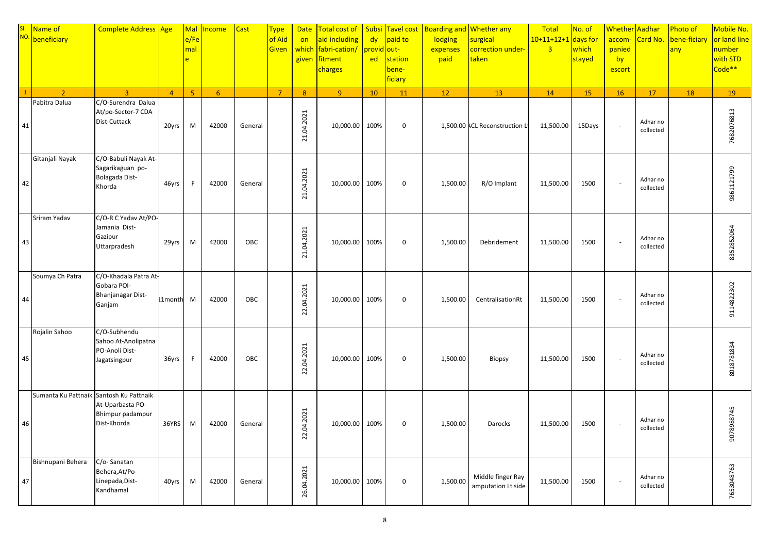|    | SI. Name of<br>NO. beneficiary          | Complete Address Age                                                         |                | Mal<br>$e$ /Fe<br>mal<br>$\mathbf{e}$ | <b>Income</b>  | <b>Cast</b> | <b>Type</b><br>of Aid<br>Given | <b>Date</b><br>on<br>which<br>given | Total cost of<br>aid including<br>fabri-cation/<br>fitment<br>charges | Subsi<br>dy<br>provid out-<br>ed | Tavel cost<br>paid to<br>station<br>bene-<br>ficiary | Boarding and Whether any<br>lodging<br>expenses<br>paid | surgical<br>correction under-<br>taken  | Total<br>$10+11+12+1$ days for<br>$\overline{3}$ | No. of<br>which<br>stayed | <b>Whether</b> Aadhar<br>accom-<br>panied<br>by<br>escort | Card No.              | Photo of<br>bene-ficiary<br>any | Mobile No.<br>or land line<br>number<br>with STD<br>Code <sup>**</sup> |
|----|-----------------------------------------|------------------------------------------------------------------------------|----------------|---------------------------------------|----------------|-------------|--------------------------------|-------------------------------------|-----------------------------------------------------------------------|----------------------------------|------------------------------------------------------|---------------------------------------------------------|-----------------------------------------|--------------------------------------------------|---------------------------|-----------------------------------------------------------|-----------------------|---------------------------------|------------------------------------------------------------------------|
|    | $\overline{2}$                          | $\overline{3}$                                                               | $\overline{4}$ | 5 <sup>°</sup>                        | 6 <sup>6</sup> |             | $\overline{7}$                 | 8 <sup>°</sup>                      | $\overline{9}$                                                        | 10                               | 11                                                   | 12                                                      | 13                                      | 14                                               | 15                        | 16                                                        | 17                    | 18                              | 19                                                                     |
| 41 | Pabitra Dalua                           | C/O-Surendra Dalua<br>At/po-Sector-7 CDA<br>Dist-Cuttack                     | 20yrs          | M                                     | 42000          | General     |                                | 21.04.2021                          | 10,000.00                                                             | 100%                             | $\mathbf 0$                                          |                                                         | 1,500.00 ACL Reconstruction Lt          | 11,500.00                                        | 15Days                    | $\overline{\phantom{a}}$                                  | Adhar no<br>collected |                                 | 7682076813                                                             |
| 42 | Gitanjali Nayak                         | C/O-Babuli Nayak At-<br>Sagarikaguan po-<br>Bolagada Dist-<br>Khorda         | 46yrs          | F.                                    | 42000          | General     |                                | 21.04.2021                          | 10,000.00                                                             | 100%                             | $\mathbf 0$                                          | 1,500.00                                                | R/O Implant                             | 11,500.00                                        | 1500                      | $\overline{\phantom{a}}$                                  | Adhar no<br>collected |                                 | 9861121799                                                             |
| 43 | Sriram Yadav                            | C/O-R C Yadav At/PO-<br>Jamania Dist-<br>Gazipur<br>Uttarpradesh             | 29yrs          | M                                     | 42000          | OBC         |                                | 21.04.2021                          | 10,000.00                                                             | 100%                             | $\mathbf 0$                                          | 1,500.00                                                | Debridement                             | 11,500.00                                        | 1500                      | $\overline{\phantom{a}}$                                  | Adhar no<br>collected |                                 | 8352852064                                                             |
| 44 | Soumya Ch Patra                         | C/O-Khadala Patra At-<br>Gobara POI-<br><b>Bhanjanagar Dist-</b><br>Ganjam   | 1month M       |                                       | 42000          | OBC         |                                | 22.04.2021                          | 10,000.00                                                             | 100%                             | 0                                                    | 1,500.00                                                | CentralisationRt                        | 11,500.00                                        | 1500                      | $\overline{\phantom{a}}$                                  | Adhar no<br>collected |                                 | 9114822302                                                             |
| 45 | Rojalin Sahoo                           | C/O-Subhendu<br>Sahoo At-Anolipatna<br>PO-Anoli Dist-<br>Jagatsingpur        | 36yrs          | -F                                    | 42000          | OBC         |                                | 22.04.2021                          | 10,000.00                                                             | 100%                             | $\mathbf 0$                                          | 1,500.00                                                | <b>Biopsy</b>                           | 11,500.00                                        | 1500                      | $\overline{\phantom{a}}$                                  | Adhar no<br>collected |                                 | 8018781834                                                             |
| 46 | Sumanta Ku Pattnaik Santosh Ku Pattnaik | At-Uparbasta PO-<br>Bhimpur padampur<br>Dist-Khorda                          | 36YRS          | M                                     | 42000          | General     |                                | .04.2021<br>22.                     | 10,000.00                                                             | 100%                             | $\mathbf 0$                                          | 1,500.00                                                | Darocks                                 | 11,500.00                                        | 1500                      | $\overline{\phantom{a}}$                                  | Adhar no<br>collected |                                 | 9078988745                                                             |
| 47 | Bishnupani Behera                       | $\overline{C/O}$ - Sanatan<br>Behera, At/Po-<br>Linepada, Dist-<br>Kandhamal | 40yrs          | M                                     | 42000          | General     |                                | 26.04.2021                          | 10,000.00                                                             | 100%                             | $\mathbf 0$                                          | 1,500.00                                                | Middle finger Ray<br>amputation Lt side | 11,500.00                                        | 1500                      | $\overline{\phantom{a}}$                                  | Adhar no<br>collected |                                 | 7653048763                                                             |